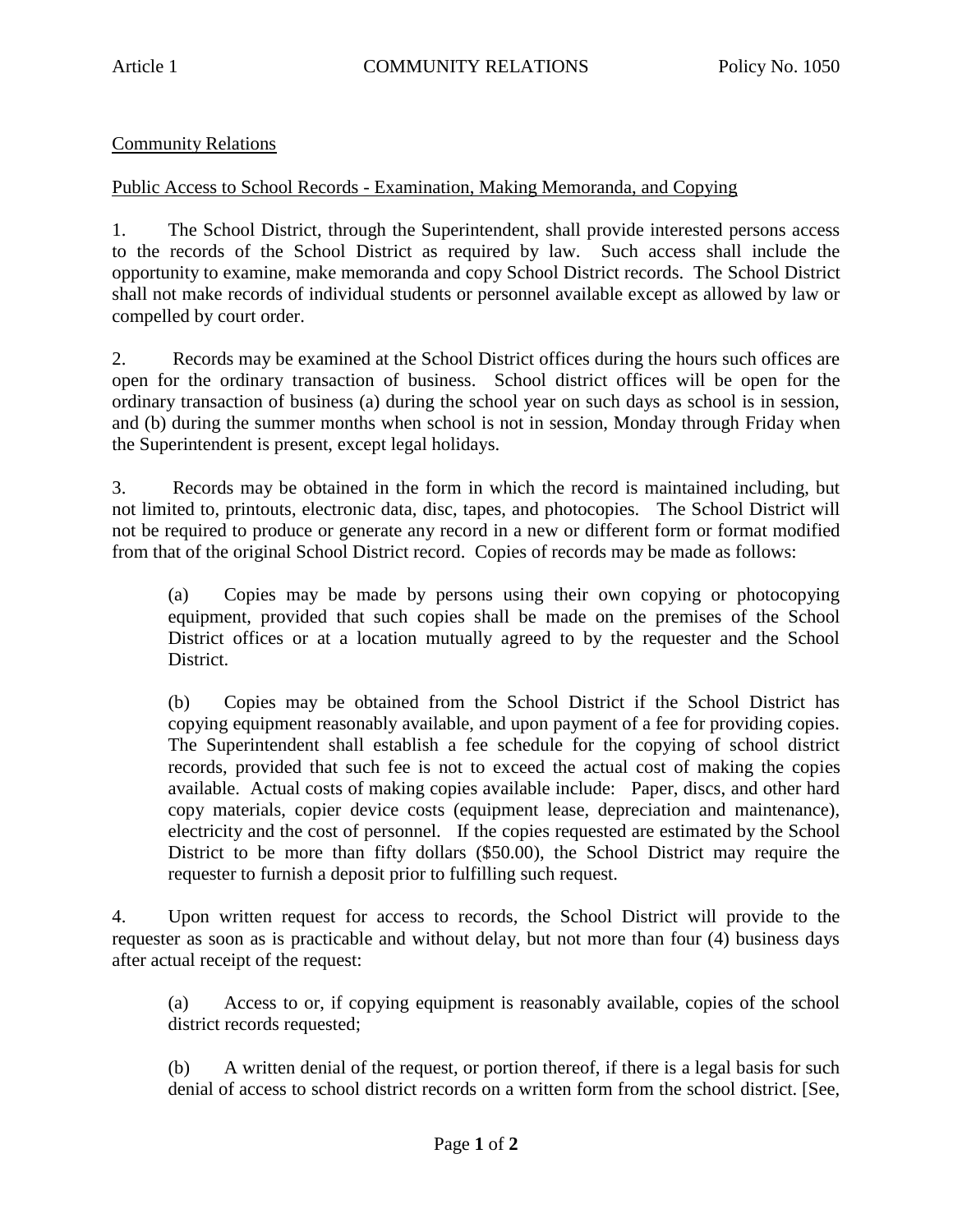## Community Relations

## Public Access to School Records - Examination, Making Memoranda, and Copying

1. The School District, through the Superintendent, shall provide interested persons access to the records of the School District as required by law. Such access shall include the opportunity to examine, make memoranda and copy School District records. The School District shall not make records of individual students or personnel available except as allowed by law or compelled by court order.

2. Records may be examined at the School District offices during the hours such offices are open for the ordinary transaction of business. School district offices will be open for the ordinary transaction of business (a) during the school year on such days as school is in session, and (b) during the summer months when school is not in session, Monday through Friday when the Superintendent is present, except legal holidays.

3. Records may be obtained in the form in which the record is maintained including, but not limited to, printouts, electronic data, disc, tapes, and photocopies. The School District will not be required to produce or generate any record in a new or different form or format modified from that of the original School District record. Copies of records may be made as follows:

(a) Copies may be made by persons using their own copying or photocopying equipment, provided that such copies shall be made on the premises of the School District offices or at a location mutually agreed to by the requester and the School District.

(b) Copies may be obtained from the School District if the School District has copying equipment reasonably available, and upon payment of a fee for providing copies. The Superintendent shall establish a fee schedule for the copying of school district records, provided that such fee is not to exceed the actual cost of making the copies available. Actual costs of making copies available include: Paper, discs, and other hard copy materials, copier device costs (equipment lease, depreciation and maintenance), electricity and the cost of personnel. If the copies requested are estimated by the School District to be more than fifty dollars (\$50.00), the School District may require the requester to furnish a deposit prior to fulfilling such request.

4. Upon written request for access to records, the School District will provide to the requester as soon as is practicable and without delay, but not more than four (4) business days after actual receipt of the request:

(a) Access to or, if copying equipment is reasonably available, copies of the school district records requested;

(b) A written denial of the request, or portion thereof, if there is a legal basis for such denial of access to school district records on a written form from the school district. [See,